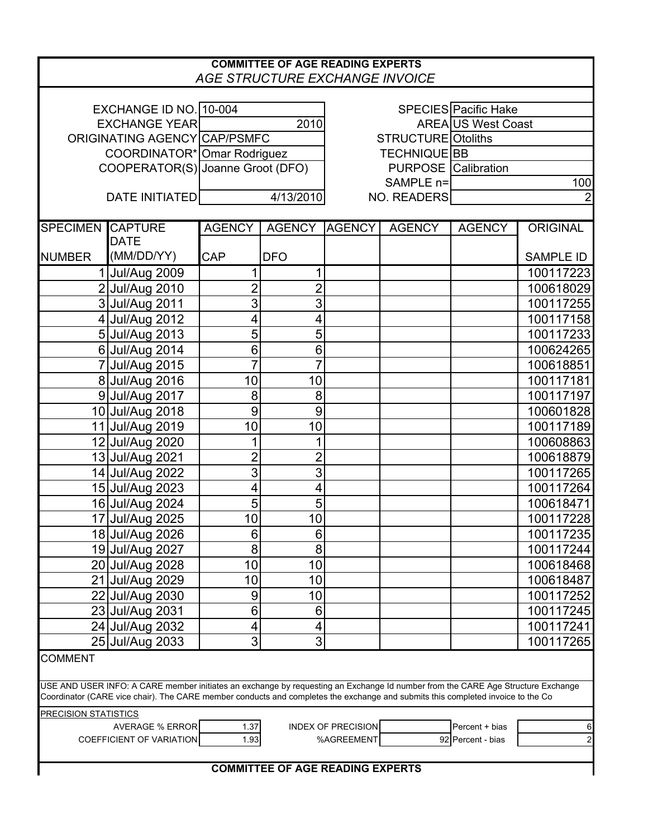| <b>COMMITTEE OF AGE READING EXPERTS</b><br>AGE STRUCTURE EXCHANGE INVOICE                                                                                                                                                                                          |                                  |                 |                |                            |               |                      |                  |
|--------------------------------------------------------------------------------------------------------------------------------------------------------------------------------------------------------------------------------------------------------------------|----------------------------------|-----------------|----------------|----------------------------|---------------|----------------------|------------------|
|                                                                                                                                                                                                                                                                    |                                  |                 |                |                            |               |                      |                  |
| EXCHANGE ID NO. 10-004                                                                                                                                                                                                                                             |                                  |                 |                |                            |               | SPECIES Pacific Hake |                  |
| <b>EXCHANGE YEAR</b>                                                                                                                                                                                                                                               |                                  |                 | 2010           | <b>AREA US West Coast</b>  |               |                      |                  |
| ORIGINATING AGENCY CAP/PSMFC                                                                                                                                                                                                                                       |                                  |                 |                | <b>STRUCTURE</b> Otoliths  |               |                      |                  |
|                                                                                                                                                                                                                                                                    | COORDINATOR* Omar Rodriguez      |                 |                | TECHNIQUE BB               |               |                      |                  |
|                                                                                                                                                                                                                                                                    | COOPERATOR(S) Joanne Groot (DFO) |                 |                | <b>PURPOSE</b> Calibration |               |                      |                  |
|                                                                                                                                                                                                                                                                    |                                  |                 |                | SAMPLE n=                  |               |                      | 100              |
|                                                                                                                                                                                                                                                                    | DATE INITIATED                   | 4/13/2010       |                | <b>NO. READERS</b>         |               |                      |                  |
| <b>SPECIMEN CAPTURE</b>                                                                                                                                                                                                                                            |                                  | <b>AGENCY</b>   | <b>AGENCY</b>  | <b>AGENCY</b>              | <b>AGENCY</b> | <b>AGENCY</b>        | <b>ORIGINAL</b>  |
|                                                                                                                                                                                                                                                                    | <b>DATE</b>                      |                 |                |                            |               |                      |                  |
| <b>NUMBER</b>                                                                                                                                                                                                                                                      | (MM/DD/YY)                       | <b>CAP</b>      | <b>DFO</b>     |                            |               |                      | <b>SAMPLE ID</b> |
|                                                                                                                                                                                                                                                                    | 1 Jul/Aug 2009                   | 1               | 1              |                            |               |                      | 100117223        |
|                                                                                                                                                                                                                                                                    | 2 Jul/Aug 2010                   | $\overline{2}$  | $\overline{2}$ |                            |               |                      | 100618029        |
|                                                                                                                                                                                                                                                                    | 3 Jul/Aug 2011                   | $\overline{3}$  | 3              |                            |               |                      | 100117255        |
|                                                                                                                                                                                                                                                                    | 4 Jul/Aug 2012                   | 4               | 4              |                            |               |                      | 100117158        |
|                                                                                                                                                                                                                                                                    | 5 Jul/Aug 2013                   | 5               | 5              |                            |               |                      | 100117233        |
|                                                                                                                                                                                                                                                                    | 6 Jul/Aug 2014                   | 6               | 6              |                            |               |                      | 100624265        |
|                                                                                                                                                                                                                                                                    | 7 Jul/Aug 2015                   | $\overline{7}$  | $\overline{7}$ |                            |               |                      | 100618851        |
|                                                                                                                                                                                                                                                                    | 8 Jul/Aug 2016                   | 10              | 10             |                            |               |                      | 100117181        |
|                                                                                                                                                                                                                                                                    | 9 Jul/Aug 2017                   | 8               | 8              |                            |               |                      | 100117197        |
|                                                                                                                                                                                                                                                                    | 10 Jul/Aug 2018                  | 9               | 9              |                            |               |                      | 100601828        |
|                                                                                                                                                                                                                                                                    | 11 Jul/Aug 2019                  | 10              | 10             |                            |               |                      | 100117189        |
|                                                                                                                                                                                                                                                                    | 12 Jul/Aug 2020                  | 1               | 1              |                            |               |                      | 100608863        |
|                                                                                                                                                                                                                                                                    | 13 Jul/Aug 2021                  | $\overline{2}$  | $\overline{2}$ |                            |               |                      | 100618879        |
|                                                                                                                                                                                                                                                                    | 14 Jul/Aug 2022                  | $\overline{3}$  | $\overline{3}$ |                            |               |                      | 100117265        |
|                                                                                                                                                                                                                                                                    | 15 Jul/Aug 2023                  | 4               | 4              |                            |               |                      | 100117264        |
|                                                                                                                                                                                                                                                                    | 16 Jul/Aug 2024                  | $\overline{5}$  | 5              |                            |               |                      | 100618471        |
|                                                                                                                                                                                                                                                                    | 17 Jul/Aug 2025                  | 10 <sup>1</sup> | 10             |                            |               |                      | 100117228        |
|                                                                                                                                                                                                                                                                    | 18 Jul/Aug 2026                  | 6               | 6              |                            |               |                      | 100117235        |
|                                                                                                                                                                                                                                                                    | 19 Jul/Aug 2027                  | 8               | 8              |                            |               |                      | 100117244        |
|                                                                                                                                                                                                                                                                    | 20 Jul/Aug 2028                  | 10              | 10             |                            |               |                      | 100618468        |
|                                                                                                                                                                                                                                                                    | 21 Jul/Aug 2029                  | 10              | 10             |                            |               |                      | 100618487        |
|                                                                                                                                                                                                                                                                    | 22 Jul/Aug 2030                  | 9               | 10             |                            |               |                      | 100117252        |
|                                                                                                                                                                                                                                                                    | 23 Jul/Aug 2031                  | 6               | 6              |                            |               |                      | 100117245        |
|                                                                                                                                                                                                                                                                    | 24 Jul/Aug 2032                  | 4               | 4              |                            |               |                      | 100117241        |
|                                                                                                                                                                                                                                                                    | 25 Jul/Aug 2033                  | $\overline{3}$  | 3              |                            |               |                      | 100117265        |
| <b>COMMENT</b>                                                                                                                                                                                                                                                     |                                  |                 |                |                            |               |                      |                  |
| USE AND USER INFO: A CARE member initiates an exchange by requesting an Exchange Id number from the CARE Age Structure Exchange<br>Coordinator (CARE vice chair). The CARE member conducts and completes the exchange and submits this completed invoice to the Co |                                  |                 |                |                            |               |                      |                  |
| <b>PRECISION STATISTICS</b>                                                                                                                                                                                                                                        |                                  |                 |                |                            |               |                      |                  |
|                                                                                                                                                                                                                                                                    | <b>AVERAGE % ERROR</b>           | 1.37            |                | <b>INDEX OF PRECISION</b>  |               | Percent + bias       | 6                |
|                                                                                                                                                                                                                                                                    | <b>COEFFICIENT OF VARIATION</b>  | 1.93            |                | %AGREEMENT                 |               | 92 Percent - bias    | $\overline{a}$   |
| <b>COMMITTEE OF AGE READING EXPERTS</b>                                                                                                                                                                                                                            |                                  |                 |                |                            |               |                      |                  |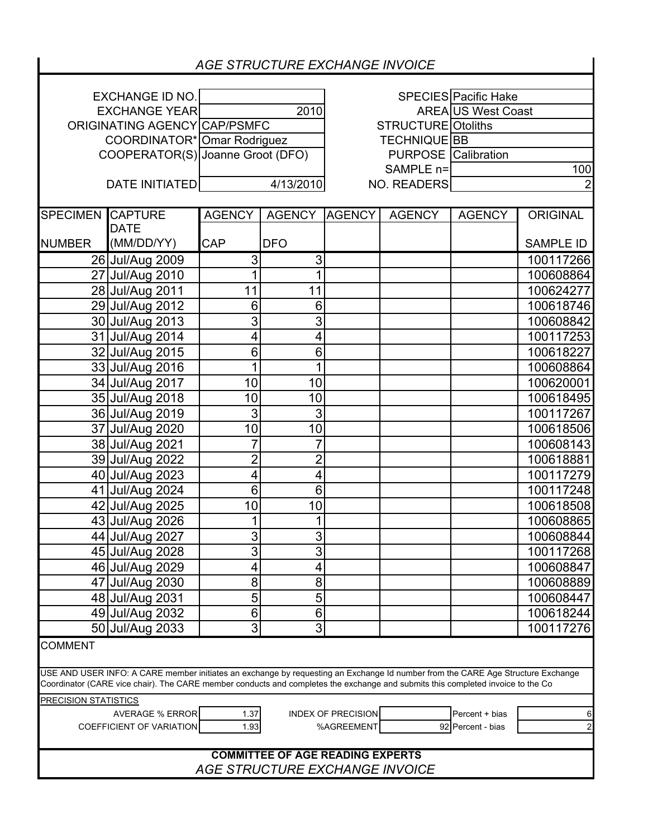| <b>AGE STRUCTURE EXCHANGE INVOICE</b>                                                                                                                                                                                                                              |                          |                                  |                |                            |               |                           |                  |  |
|--------------------------------------------------------------------------------------------------------------------------------------------------------------------------------------------------------------------------------------------------------------------|--------------------------|----------------------------------|----------------|----------------------------|---------------|---------------------------|------------------|--|
|                                                                                                                                                                                                                                                                    |                          |                                  |                |                            |               |                           |                  |  |
| <b>EXCHANGE ID NO.</b>                                                                                                                                                                                                                                             |                          |                                  |                |                            |               | SPECIES Pacific Hake      |                  |  |
| <b>EXCHANGE YEAR</b>                                                                                                                                                                                                                                               |                          | 2010                             |                |                            |               | <b>AREA US West Coast</b> |                  |  |
| ORIGINATING AGENCY CAP/PSMFC                                                                                                                                                                                                                                       |                          |                                  |                | <b>STRUCTURE</b> Otoliths  |               |                           |                  |  |
| COORDINATOR* Omar Rodriguez                                                                                                                                                                                                                                        |                          |                                  |                | <b>TECHNIQUE BB</b>        |               |                           |                  |  |
|                                                                                                                                                                                                                                                                    |                          | COOPERATOR(S) Joanne Groot (DFO) |                | <b>PURPOSE</b> Calibration |               |                           |                  |  |
|                                                                                                                                                                                                                                                                    |                          |                                  |                | SAMPLE n=                  |               | 100                       |                  |  |
| 4/13/2010<br>DATE INITIATED<br><b>NO. READERS</b>                                                                                                                                                                                                                  |                          |                                  |                |                            |               |                           |                  |  |
| <b>SPECIMEN CAPTURE</b>                                                                                                                                                                                                                                            |                          | <b>AGENCY</b>                    | <b>AGENCY</b>  | <b>AGENCY</b>              | <b>AGENCY</b> | <b>AGENCY</b>             | <b>ORIGINAL</b>  |  |
|                                                                                                                                                                                                                                                                    | <b>DATE</b>              |                                  |                |                            |               |                           |                  |  |
| <b>NUMBER</b>                                                                                                                                                                                                                                                      | (MM/DD/YY)               | <b>CAP</b>                       | <b>DFO</b>     |                            |               |                           | <b>SAMPLE ID</b> |  |
|                                                                                                                                                                                                                                                                    | 26 Jul/Aug 2009          | $\overline{3}$                   | 3              |                            |               |                           | 100117266        |  |
|                                                                                                                                                                                                                                                                    | 27 Jul/Aug 2010          | $\overline{1}$                   | 1              |                            |               |                           | 100608864        |  |
|                                                                                                                                                                                                                                                                    | 28 Jul/Aug 2011          | 11                               | 11             |                            |               |                           | 100624277        |  |
|                                                                                                                                                                                                                                                                    | 29 Jul/Aug 2012          | 6                                | 6              |                            |               |                           | 100618746        |  |
|                                                                                                                                                                                                                                                                    | 30 Jul/Aug 2013          | $\overline{3}$                   | 3              |                            |               |                           | 100608842        |  |
|                                                                                                                                                                                                                                                                    | 31 Jul/Aug 2014          | 4                                | 4              |                            |               |                           | 100117253        |  |
|                                                                                                                                                                                                                                                                    | 32 Jul/Aug 2015          | 6                                | 6              |                            |               |                           | 100618227        |  |
|                                                                                                                                                                                                                                                                    | 33 Jul/Aug 2016          | 1                                | 1              |                            |               |                           | 100608864        |  |
|                                                                                                                                                                                                                                                                    | 34 Jul/Aug 2017          | 10                               | 10             |                            |               |                           | 100620001        |  |
|                                                                                                                                                                                                                                                                    | 35 Jul/Aug 2018          | 10                               | 10             |                            |               |                           | 100618495        |  |
|                                                                                                                                                                                                                                                                    | 36 Jul/Aug 2019          | 3                                | 3              |                            |               |                           | 100117267        |  |
|                                                                                                                                                                                                                                                                    | 37 Jul/Aug 2020          | 10                               | 10             |                            |               |                           | 100618506        |  |
|                                                                                                                                                                                                                                                                    | 38 Jul/Aug 2021          | 7                                | 7              |                            |               |                           | 100608143        |  |
|                                                                                                                                                                                                                                                                    | 39 Jul/Aug 2022          | $\overline{2}$                   | $\overline{2}$ |                            |               |                           | 100618881        |  |
|                                                                                                                                                                                                                                                                    | 40 Jul/Aug 2023          | 4                                | 4              |                            |               |                           | 100117279        |  |
|                                                                                                                                                                                                                                                                    | 41 Jul/Aug 2024          | 6                                | 6              |                            |               |                           | 100117248        |  |
|                                                                                                                                                                                                                                                                    | 42 Jul/Aug 2025          | 10                               | 10             |                            |               |                           | 100618508        |  |
|                                                                                                                                                                                                                                                                    | 43 Jul/Aug 2026          | 1                                |                |                            |               |                           | 100608865        |  |
|                                                                                                                                                                                                                                                                    | 44 Jul/Aug 2027          | 3                                | 3              |                            |               |                           | 100608844        |  |
|                                                                                                                                                                                                                                                                    | 45 Jul/Aug 2028          | 3                                | 3              |                            |               |                           | 100117268        |  |
|                                                                                                                                                                                                                                                                    | 46 Jul/Aug 2029          | 4                                | 4              |                            |               |                           | 100608847        |  |
|                                                                                                                                                                                                                                                                    | 47 Jul/Aug 2030          | 8                                | 8              |                            |               |                           | 100608889        |  |
|                                                                                                                                                                                                                                                                    | 48 Jul/Aug 2031          | 5                                | 5              |                            |               |                           | 100608447        |  |
|                                                                                                                                                                                                                                                                    | 49 Jul/Aug 2032          | 6                                | 6              |                            |               |                           | 100618244        |  |
|                                                                                                                                                                                                                                                                    | 50 Jul/Aug 2033          | 3                                | 3              |                            |               |                           | 100117276        |  |
| <b>COMMENT</b>                                                                                                                                                                                                                                                     |                          |                                  |                |                            |               |                           |                  |  |
|                                                                                                                                                                                                                                                                    |                          |                                  |                |                            |               |                           |                  |  |
| USE AND USER INFO: A CARE member initiates an exchange by requesting an Exchange Id number from the CARE Age Structure Exchange<br>Coordinator (CARE vice chair). The CARE member conducts and completes the exchange and submits this completed invoice to the Co |                          |                                  |                |                            |               |                           |                  |  |
| <b>PRECISION STATISTICS</b>                                                                                                                                                                                                                                        |                          |                                  |                |                            |               |                           |                  |  |
| <b>AVERAGE % ERROR</b><br><b>INDEX OF PRECISION</b><br>1.37<br>Percent + bias<br>6                                                                                                                                                                                 |                          |                                  |                |                            |               |                           |                  |  |
|                                                                                                                                                                                                                                                                    | COEFFICIENT OF VARIATION | 1.93                             |                | %AGREEMENT                 |               | 92 Percent - bias         | $\overline{c}$   |  |
| <b>COMMITTEE OF AGE READING EXPERTS</b>                                                                                                                                                                                                                            |                          |                                  |                |                            |               |                           |                  |  |
| <b>AGE STRUCTURE EXCHANGE INVOICE</b>                                                                                                                                                                                                                              |                          |                                  |                |                            |               |                           |                  |  |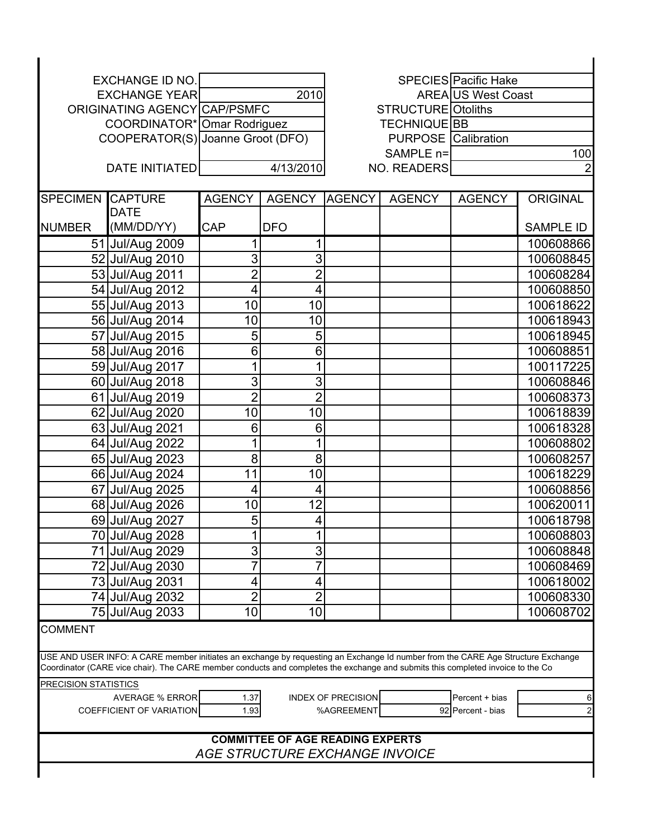| <b>EXCHANGE ID NO.</b>                                                                                                                                                                                                                                             |                       |                                  |                                         |                           |                            | SPECIES Pacific Hake      |                  |  |
|--------------------------------------------------------------------------------------------------------------------------------------------------------------------------------------------------------------------------------------------------------------------|-----------------------|----------------------------------|-----------------------------------------|---------------------------|----------------------------|---------------------------|------------------|--|
| <b>EXCHANGE YEAR</b>                                                                                                                                                                                                                                               |                       | 2010                             |                                         |                           |                            | <b>AREA US West Coast</b> |                  |  |
| ORIGINATING AGENCY CAP/PSMFC                                                                                                                                                                                                                                       |                       |                                  |                                         | <b>STRUCTURE Otoliths</b> |                            |                           |                  |  |
| COORDINATOR* Omar Rodriguez                                                                                                                                                                                                                                        |                       |                                  |                                         | <b>TECHNIQUE BB</b>       |                            |                           |                  |  |
|                                                                                                                                                                                                                                                                    |                       | COOPERATOR(S) Joanne Groot (DFO) |                                         |                           | <b>PURPOSE</b> Calibration |                           |                  |  |
|                                                                                                                                                                                                                                                                    |                       |                                  |                                         | SAMPLE n=                 |                            |                           | 100              |  |
|                                                                                                                                                                                                                                                                    | <b>DATE INITIATED</b> |                                  | 4/13/2010                               | NO. READERS               |                            |                           |                  |  |
| <b>SPECIMEN</b>                                                                                                                                                                                                                                                    | <b>CAPTURE</b>        | <b>AGENCY</b>                    | <b>AGENCY</b>                           | <b>AGENCY</b>             | <b>AGENCY</b>              | <b>AGENCY</b>             | <b>ORIGINAL</b>  |  |
|                                                                                                                                                                                                                                                                    | <b>DATE</b>           |                                  |                                         |                           |                            |                           |                  |  |
| <b>NUMBER</b>                                                                                                                                                                                                                                                      | (MM/DD/YY)            | <b>CAP</b>                       | <b>DFO</b>                              |                           |                            |                           | <b>SAMPLE ID</b> |  |
|                                                                                                                                                                                                                                                                    | 51 Jul/Aug 2009       | 1                                | 1                                       |                           |                            |                           | 100608866        |  |
|                                                                                                                                                                                                                                                                    | 52 Jul/Aug 2010       | $\overline{3}$                   | 3                                       |                           |                            |                           | 100608845        |  |
|                                                                                                                                                                                                                                                                    | 53 Jul/Aug 2011       | $\overline{2}$                   | $\overline{2}$                          |                           |                            |                           | 100608284        |  |
|                                                                                                                                                                                                                                                                    | 54 Jul/Aug 2012       | $\overline{\mathbf{4}}$          | 4                                       |                           |                            |                           | 100608850        |  |
|                                                                                                                                                                                                                                                                    | 55 Jul/Aug 2013       | 10                               | 10                                      |                           |                            |                           | 100618622        |  |
|                                                                                                                                                                                                                                                                    | 56 Jul/Aug 2014       | 10                               | 10                                      |                           |                            |                           | 100618943        |  |
|                                                                                                                                                                                                                                                                    | 57 Jul/Aug 2015       | 5                                | 5                                       |                           |                            |                           | 100618945        |  |
|                                                                                                                                                                                                                                                                    | 58 Jul/Aug 2016       | 6                                | 6                                       |                           |                            |                           | 100608851        |  |
|                                                                                                                                                                                                                                                                    | 59 Jul/Aug 2017       | 1                                | 1                                       |                           |                            |                           | 100117225        |  |
|                                                                                                                                                                                                                                                                    | 60 Jul/Aug 2018       | $\overline{3}$                   | 3                                       |                           |                            |                           | 100608846        |  |
|                                                                                                                                                                                                                                                                    | 61 Jul/Aug 2019       | $\overline{2}$                   | $\overline{2}$                          |                           |                            |                           | 100608373        |  |
|                                                                                                                                                                                                                                                                    | 62 Jul/Aug 2020       | 10                               | 10                                      |                           |                            |                           | 100618839        |  |
|                                                                                                                                                                                                                                                                    | 63 Jul/Aug 2021       | 6                                | 6                                       |                           |                            |                           | 100618328        |  |
|                                                                                                                                                                                                                                                                    | 64 Jul/Aug 2022       | 1                                | 1                                       |                           |                            |                           | 100608802        |  |
|                                                                                                                                                                                                                                                                    | 65 Jul/Aug 2023       | 8                                | 8                                       |                           |                            |                           | 100608257        |  |
|                                                                                                                                                                                                                                                                    | 66 Jul/Aug 2024       | 11                               | 10                                      |                           |                            |                           | 100618229        |  |
|                                                                                                                                                                                                                                                                    | 67 Jul/Aug 2025       | 4                                | $\overline{\mathbf{4}}$                 |                           |                            |                           | 100608856        |  |
|                                                                                                                                                                                                                                                                    | 68 Jul/Aug 2026       | 10                               | 12                                      |                           |                            |                           | 100620011        |  |
|                                                                                                                                                                                                                                                                    | 69 Jul/Aug 2027       | 5                                | 4                                       |                           |                            |                           | 100618798        |  |
|                                                                                                                                                                                                                                                                    | 70 Jul/Aug 2028       |                                  |                                         |                           |                            |                           | 100608803        |  |
|                                                                                                                                                                                                                                                                    | 71 Jul/Aug 2029       | 3                                | 3                                       |                           |                            |                           | 100608848        |  |
|                                                                                                                                                                                                                                                                    | 72 Jul/Aug 2030       | 7                                | $\overline{7}$                          |                           |                            |                           | 100608469        |  |
|                                                                                                                                                                                                                                                                    | 73 Jul/Aug 2031       | 4                                | 4                                       |                           |                            |                           | 100618002        |  |
|                                                                                                                                                                                                                                                                    | 74 Jul/Aug 2032       | $\overline{2}$                   | $\overline{2}$                          |                           |                            |                           | 100608330        |  |
|                                                                                                                                                                                                                                                                    | 75 Jul/Aug 2033       | 10                               | 10                                      |                           |                            |                           | 100608702        |  |
| <b>COMMENT</b>                                                                                                                                                                                                                                                     |                       |                                  |                                         |                           |                            |                           |                  |  |
| USE AND USER INFO: A CARE member initiates an exchange by requesting an Exchange Id number from the CARE Age Structure Exchange<br>Coordinator (CARE vice chair). The CARE member conducts and completes the exchange and submits this completed invoice to the Co |                       |                                  |                                         |                           |                            |                           |                  |  |
| <b>PRECISION STATISTICS</b>                                                                                                                                                                                                                                        |                       |                                  |                                         |                           |                            |                           |                  |  |
| <b>AVERAGE % ERROR</b><br><b>INDEX OF PRECISION</b><br>1.37<br>Percent + bias                                                                                                                                                                                      |                       |                                  |                                         |                           |                            | 6                         |                  |  |
| <b>COEFFICIENT OF VARIATION</b><br>%AGREEMENT<br>1.93<br>92 Percent - bias                                                                                                                                                                                         |                       |                                  |                                         |                           |                            |                           |                  |  |
|                                                                                                                                                                                                                                                                    |                       |                                  |                                         |                           |                            |                           |                  |  |
|                                                                                                                                                                                                                                                                    |                       |                                  | <b>COMMITTEE OF AGE READING EXPERTS</b> |                           |                            |                           |                  |  |
| AGE STRUCTURE EXCHANGE INVOICE                                                                                                                                                                                                                                     |                       |                                  |                                         |                           |                            |                           |                  |  |
|                                                                                                                                                                                                                                                                    |                       |                                  |                                         |                           |                            |                           |                  |  |